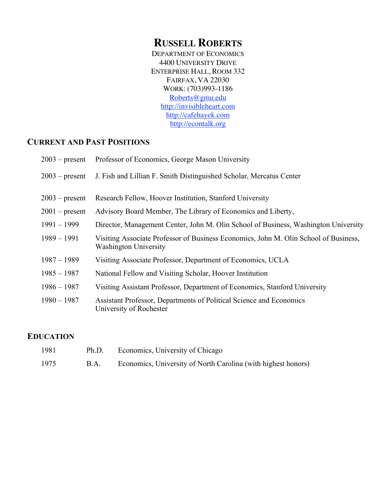# **RUSSELL ROBERTS**

DEPARTMENT OF ECONOMICS 4400 UNIVERSITY DRIVE ENTERPRISE HALL, ROOM 332 FAIRFAX, VA 22030 WORK: (703)993-1186 Roberts@gmu.edu http://invisibleheart.com http://cafehayek.com http://econtalk.org

## **CURRENT AND PAST POSITIONS**

| $2003$ – present | Professor of Economics, George Mason University                                                                      |
|------------------|----------------------------------------------------------------------------------------------------------------------|
| $2003$ – present | J. Fish and Lillian F. Smith Distinguished Scholar, Mercatus Center                                                  |
| $2003$ – present | Research Fellow, Hoover Institution, Stanford University                                                             |
| $2001$ – present | Advisory Board Member, The Library of Economics and Liberty,                                                         |
| $1991 - 1999$    | Director, Management Center, John M. Olin School of Business, Washington University                                  |
| $1989 - 1991$    | Visiting Associate Professor of Business Economics, John M. Olin School of Business,<br><b>Washington University</b> |
| $1987 - 1989$    | Visiting Associate Professor, Department of Economics, UCLA                                                          |
| $1985 - 1987$    | National Fellow and Visiting Scholar, Hoover Institution                                                             |
| $1986 - 1987$    | Visiting Assistant Professor, Department of Economics, Stanford University                                           |
| $1980 - 1987$    | Assistant Professor, Departments of Political Science and Economics<br>University of Rochester                       |

### **EDUCATION**

| 1981 | Ph.D. | Economics, University of Chicago                              |
|------|-------|---------------------------------------------------------------|
| 1975 | B.A.  | Economics, University of North Carolina (with highest honors) |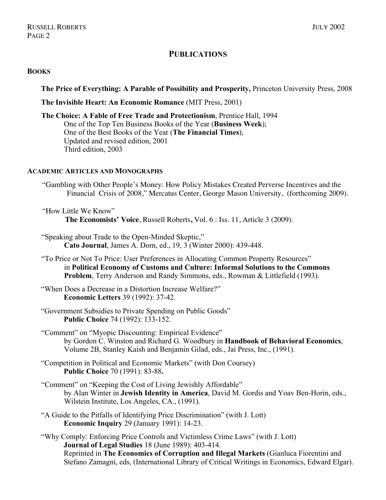### **PUBLICATIONS**

#### **BOOKS**

**The Price of Everything: A Parable of Possibility and Prosperity,** Princeton University Press, 2008

**The Invisible Heart: An Economic Romance** (MIT Press, 2001)

**The Choice: A Fable of Free Trade and Protectionism**, Prentice Hall, 1994 One of the Top Ten Business Books of the Year (**Business Week**); One of the Best Books of the Year (**The Financial Times**), Updated and revised edition, 2001 Third edition, 2003

#### **ACADEMIC ARTICLES AND MONOGRAPHS**

- "Gambling with Other People's Money: How Policy Mistakes Created Perverse Incentives and the Financial Crisis of 2008," Mercatus Center, George Mason University, (forthcoming 2009).
- "How Little We Know" **The Economists' Voice**, Russell Roberts**,** Vol. 6 : Iss. 11, Article 3 (2009).
- "Speaking about Trade to the Open-Minded Skeptic," **Cato Journal**, James A. Dorn, ed., 19, 3 (Winter 2000): 439-448.
- "To Price or Not To Price: User Preferences in Allocating Common Property Resources" in **Political Economy of Customs and Culture: Informal Solutions to the Commons Problem**, Terry Anderson and Randy Simmons, eds., Rowman & Littlefield (1993).
- "When Does a Decrease in a Distortion Increase Welfare?" **Economic Letters** 39 (1992): 37-42.
- "Government Subsidies to Private Spending on Public Goods" **Public Choice** 74 (1992): 133-152.

"Comment" on "Myopic Discounting: Empirical Evidence" by Gordon C. Winston and Richard G. Woodbury in **Handbook of Behavioral Economics**, Volume 2B, Stanley Kaish and Benjamin Gilad, eds., Jai Press, Inc., (1991).

- "Competition in Political and Economic Markets" (with Don Coursey) **Public Choice** 70 (1991): 83-88**.**
- "Comment" on "Keeping the Cost of Living Jewishly Affordable" by Alan Winter in **Jewish Identity in America**, David M. Gordis and Yoav Ben-Horin, eds., Wilstein Institute, Los Angeles, CA., (1991).
- "A Guide to the Pitfalls of Identifying Price Discrimination" (with J. Lott) **Economic Inquiry** 29 (January 1991): 14-23.

"Why Comply: Enforcing Price Controls and Victimless Crime Laws" (with J. Lott) **Journal of Legal Studies** 18 (June 1989): 403-414. Reprinted in **The Economics of Corruption and Illegal Markets** (Gianluca Fiorentini and Stefano Zamagni, eds, (International Library of Critical Writings in Economics, Edward Elgar).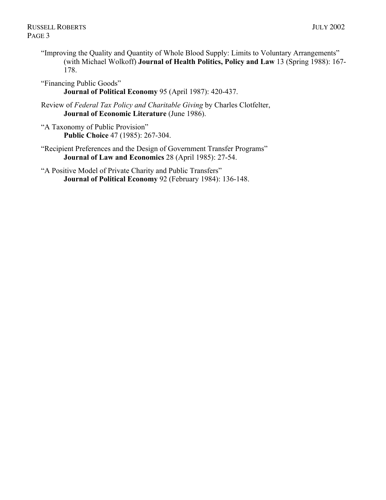- "Improving the Quality and Quantity of Whole Blood Supply: Limits to Voluntary Arrangements" (with Michael Wolkoff) **Journal of Health Politics, Policy and Law** 13 (Spring 1988): 167- 178.
- "Financing Public Goods" **Journal of Political Economy** 95 (April 1987): 420-437.
- Review of *Federal Tax Policy and Charitable Giving* by Charles Clotfelter, **Journal of Economic Literature** (June 1986).
- "A Taxonomy of Public Provision" **Public Choice** 47 (1985): 267-304.
- "Recipient Preferences and the Design of Government Transfer Programs" **Journal of Law and Economics** 28 (April 1985): 27-54.
- "A Positive Model of Private Charity and Public Transfers" **Journal of Political Economy** 92 (February 1984): 136-148.